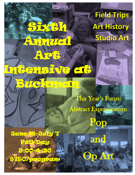## **Field Trips Art History**Studio Art

自信

This Year's Focus: Abstract Expressionism

Por

and

**Arti** 



**Full-Dety** 

9:00-4:30

Sixth 1

Annual

Avet

**Buckman** 

18IVE etä

\$750/program